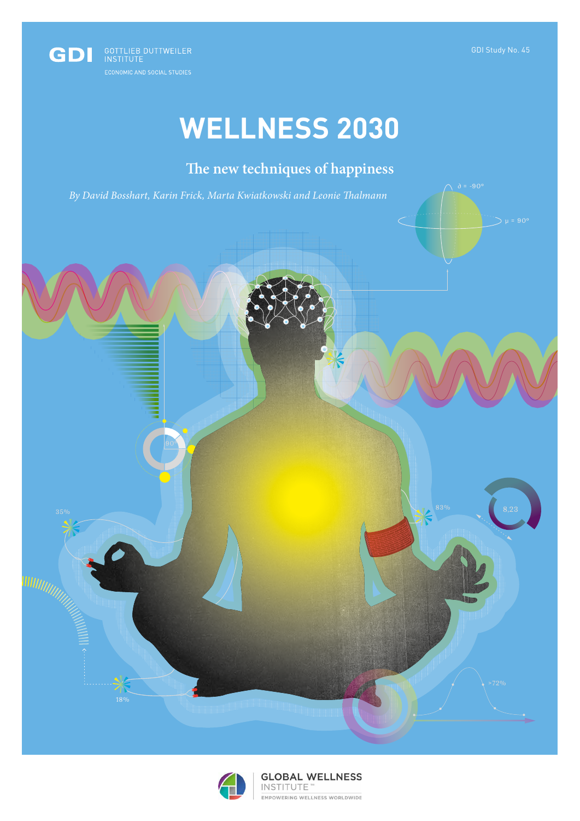$\sum \mu = 90^{\circ}$ 



# **WELLNESS 2030**

# **The new techniques of happiness**

*By David Bosshart, Karin Frick, Marta Kwiatkowski and Leonie Thalmann*





35% 83%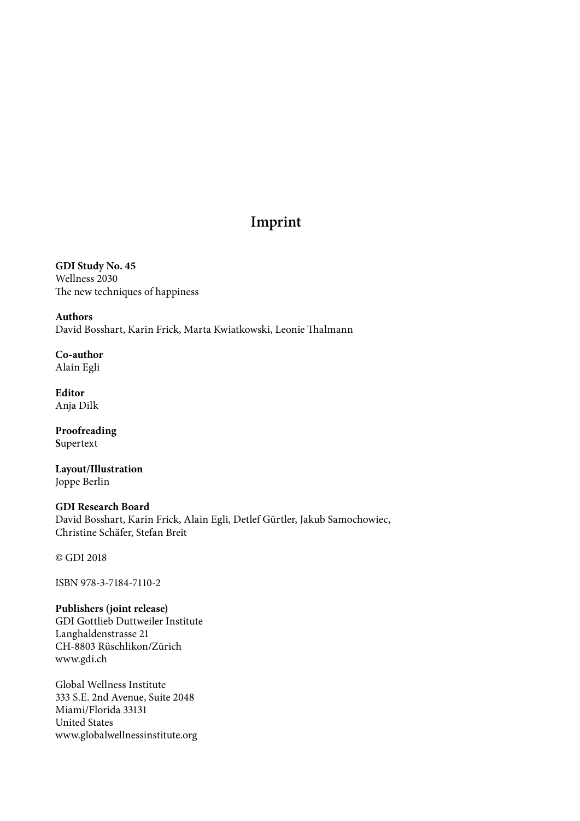## **Imprint**

**GDI Study No. 45** Wellness 2030 The new techniques of happiness

**Authors** David Bosshart, Karin Frick, Marta Kwiatkowski, Leonie Thalmann

**Co-author** Alain Egli

**Editor** Anja Dilk

**Proofreading S**upertext

**Layout/Illustration** Joppe Berlin

### **GDI Research Board** David Bosshart, Karin Frick, Alain Egli, Detlef Gürtler, Jakub Samochowiec, Christine Schäfer, Stefan Breit

**©** GDI 2018

ISBN 978-3-7184-7110-2

**Publishers (joint release)** GDI Gottlieb Duttweiler Institute Langhaldenstrasse 21 CH-8803 Rüschlikon/Zürich www.gdi.ch

Global Wellness Institute 333 S.E. 2nd Avenue, Suite 2048 Miami/Florida 33131 United States www.globalwellnessinstitute.org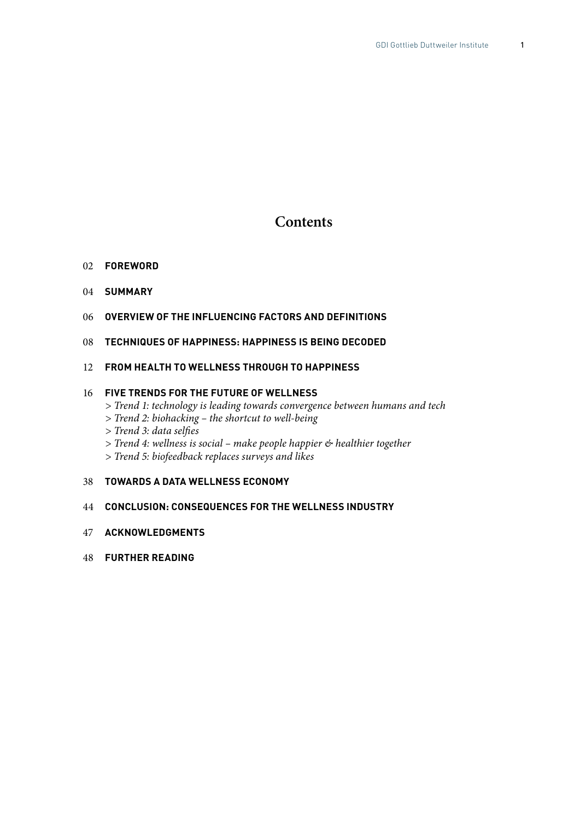### **Contents**

#### 02 **FOREWORD**

- 04 **SUMMARY**
- 06 **OVERVIEW OF THE INFLUENCING FACTORS AND DEFINITIONS**
- 08 **TECHNIQUES OF HAPPINESS: HAPPINESS IS BEING DECODED**

### 12 **FROM HEALTH TO WELLNESS THROUGH TO HAPPINESS**

### 16 **FIVE TRENDS FOR THE FUTURE OF WELLNESS**

- *> Trend 1: technology is leading towards convergence between humans and tech*
- *> Trend 2: biohacking the shortcut to well-being*
- *> Trend 3: data selfies*
- *> Trend 4: wellness is social make people happier & healthier together*
- *> Trend 5: biofeedback replaces surveys and likes*

### 38 **TOWARDS A DATA WELLNESS ECONOMY**

### 44 **CONCLUSION: CONSEQUENCES FOR THE WELLNESS INDUSTRY**

- 47 **ACKNOWLEDGMENTS**
- 48 **FURTHER READING**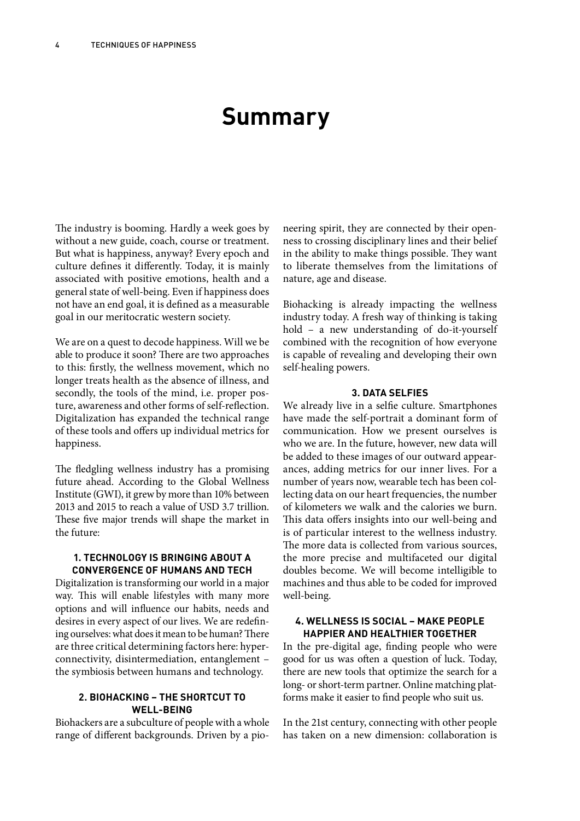# **Summary**

The industry is booming. Hardly a week goes by without a new guide, coach, course or treatment. But what is happiness, anyway? Every epoch and culture defines it differently. Today, it is mainly associated with positive emotions, health and a general state of well-being. Even if happiness does not have an end goal, it is defined as a measurable goal in our meritocratic western society.

We are on a quest to decode happiness. Will we be able to produce it soon? There are two approaches to this: firstly, the wellness movement, which no longer treats health as the absence of illness, and secondly, the tools of the mind, i.e. proper posture, awareness and other forms of self-reflection. Digitalization has expanded the technical range of these tools and offers up individual metrics for happiness.

The fledgling wellness industry has a promising future ahead. According to the Global Wellness Institute (GWI), it grew by more than 10% between 2013 and 2015 to reach a value of USD 3.7 trillion. These five major trends will shape the market in the future:

### **1. TECHNOLOGY IS BRINGING ABOUT A CONVERGENCE OF HUMANS AND TECH**

Digitalization is transforming our world in a major way. This will enable lifestyles with many more options and will influence our habits, needs and desires in every aspect of our lives. We are redefining ourselves: what does it mean to be human? There are three critical determining factors here: hyperconnectivity, disintermediation, entanglement – the symbiosis between humans and technology.

### **2. BIOHACKING – THE SHORTCUT TO WELL-BEING**

Biohackers are a subculture of people with a whole range of different backgrounds. Driven by a pio-

neering spirit, they are connected by their openness to crossing disciplinary lines and their belief in the ability to make things possible. They want to liberate themselves from the limitations of nature, age and disease.

Biohacking is already impacting the wellness industry today. A fresh way of thinking is taking hold – a new understanding of do-it-yourself combined with the recognition of how everyone is capable of revealing and developing their own self-healing powers.

### **3. DATA SELFIES**

We already live in a selfie culture. Smartphones have made the self-portrait a dominant form of communication. How we present ourselves is who we are. In the future, however, new data will be added to these images of our outward appearances, adding metrics for our inner lives. For a number of years now, wearable tech has been collecting data on our heart frequencies, the number of kilometers we walk and the calories we burn. This data offers insights into our well-being and is of particular interest to the wellness industry. The more data is collected from various sources, the more precise and multifaceted our digital doubles become. We will become intelligible to machines and thus able to be coded for improved well-being.

### **4. WELLNESS IS SOCIAL – MAKE PEOPLE HAPPIER AND HEALTHIER TOGETHER**

In the pre-digital age, finding people who were good for us was often a question of luck. Today, there are new tools that optimize the search for a long- or short-term partner. Online matching platforms make it easier to find people who suit us.

In the 21st century, connecting with other people has taken on a new dimension: collaboration is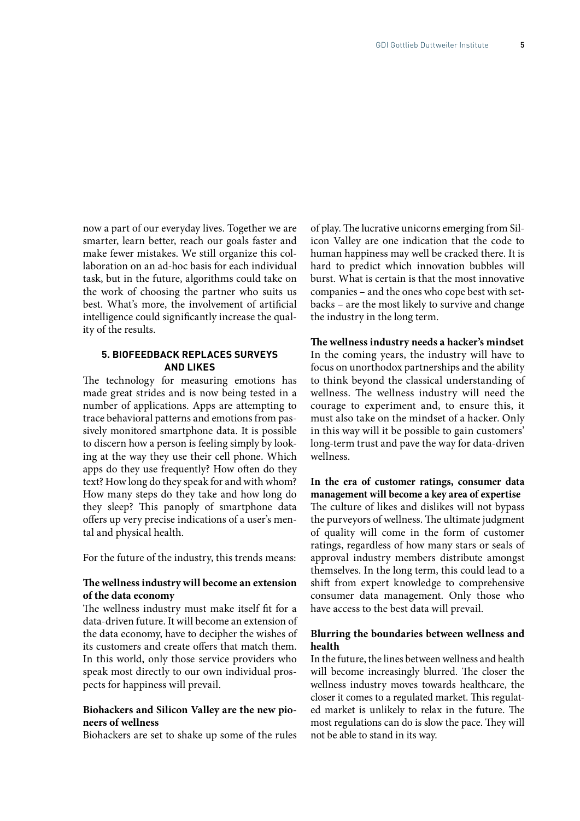now a part of our everyday lives. Together we are smarter, learn better, reach our goals faster and make fewer mistakes. We still organize this collaboration on an ad-hoc basis for each individual task, but in the future, algorithms could take on the work of choosing the partner who suits us best. What's more, the involvement of artificial intelligence could significantly increase the quality of the results.

### **5. BIOFEEDBACK REPLACES SURVEYS AND LIKES**

The technology for measuring emotions has made great strides and is now being tested in a number of applications. Apps are attempting to trace behavioral patterns and emotions from passively monitored smartphone data. It is possible to discern how a person is feeling simply by looking at the way they use their cell phone. Which apps do they use frequently? How often do they text? How long do they speak for and with whom? How many steps do they take and how long do they sleep? This panoply of smartphone data offers up very precise indications of a user's mental and physical health.

For the future of the industry, this trends means:

### **The wellness industry will become an extension of the data economy**

The wellness industry must make itself fit for a data-driven future. It will become an extension of the data economy, have to decipher the wishes of its customers and create offers that match them. In this world, only those service providers who speak most directly to our own individual prospects for happiness will prevail.

### **Biohackers and Silicon Valley are the new pioneers of wellness**

Biohackers are set to shake up some of the rules

of play. The lucrative unicorns emerging from Silicon Valley are one indication that the code to human happiness may well be cracked there. It is hard to predict which innovation bubbles will burst. What is certain is that the most innovative companies – and the ones who cope best with setbacks – are the most likely to survive and change the industry in the long term.

**The wellness industry needs a hacker's mindset** In the coming years, the industry will have to focus on unorthodox partnerships and the ability to think beyond the classical understanding of wellness. The wellness industry will need the courage to experiment and, to ensure this, it must also take on the mindset of a hacker. Only in this way will it be possible to gain customers' long-term trust and pave the way for data-driven wellness.

**In the era of customer ratings, consumer data management will become a key area of expertise** The culture of likes and dislikes will not bypass the purveyors of wellness. The ultimate judgment of quality will come in the form of customer ratings, regardless of how many stars or seals of approval industry members distribute amongst themselves. In the long term, this could lead to a shift from expert knowledge to comprehensive consumer data management. Only those who have access to the best data will prevail.

### **Blurring the boundaries between wellness and health**

In the future, the lines between wellness and health will become increasingly blurred. The closer the wellness industry moves towards healthcare, the closer it comes to a regulated market. This regulated market is unlikely to relax in the future. The most regulations can do is slow the pace. They will not be able to stand in its way.